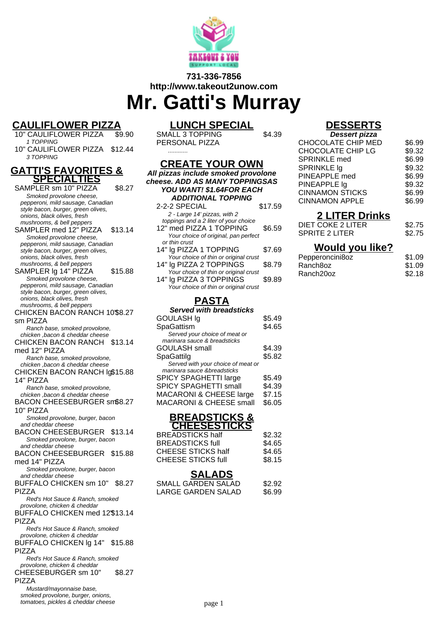

## **731-336-7856 http://www.takeout2unow.com**

# **Mr. Gatti's Murray**

## **CAULIFLOWER PIZZA**

10" CAULIFLOWER PIZZA 1 TOPPING 10" CAULIFLOWER PIZZA \$12.44

3 TOPPING

#### **GATTI'S FAVORITES & SPECIALTIES**

SAMPLER sm 10" PIZZA \$8.27 Smoked provolone cheese, pepperoni, mild sausage, Canadian style bacon, burger, green olives, onions, black olives, fresh mushrooms, & bell peppers SAMPLER med 12" PIZZA \$13.14 Smoked provolone cheese, pepperoni, mild sausage, Canadian style bacon, burger, green olives, onions, black olives, fresh mushrooms, & bell peppers SAMPLER Ig 14" PIZZA \$15.88 Smoked provolone cheese, pepperoni, mild sausage, Canadian style bacon, burger, green olives, onions, black olives, fresh mushrooms, & bell peppers CHICKEN BACON RANCH 10" \$8.27 sm PIZZA Ranch base, smoked provolone, chicken ,bacon & cheddar cheese CHICKEN BACON RANCH \$13.14 med 12" PIZZA Ranch base, smoked provolone, chicken ,bacon & cheddar cheese CHICKEN BACON RANCH lg \$15.88 14" PIZZA Ranch base, smoked provolone, chicken ,bacon & cheddar cheese BACON CHEESEBURGER sm \$8.27 10" PIZZA Smoked provolone, burger, bacon and cheddar cheese BACON CHEESEBURGER \$13.14 Smoked provolone, burger, bacon and cheddar cheese BACON CHEESEBURGER \$15.88 med 14" PIZZA Smoked provolone, burger, bacon and cheddar cheese BUFFALO CHICKEN sm 10" \$8.27 PIZZA Red's Hot Sauce & Ranch, smoked provolone, chicken & cheddar BUFFALO CHICKEN med 12" \$13.14 PIZZA Red's Hot Sauce & Ranch, smoked provolone, chicken & cheddar BUFFALO CHICKEN lg 14" PIZZA \$15.88 Red's Hot Sauce & Ranch, smoked provolone, chicken & cheddar CHEESEBURGER sm 10" PIZZA \$8.27 Mustard/mayonnaise base, smoked provolone, burger, onions, tomatoes, pickles & cheddar cheese

## **LUNCH SPECIAL**

**CREATE YOUR OWN All pizzas include smoked provolone cheese. ADD AS MANY TOPPINGSAS YOU WANT! \$1.64FOR EACH ADDITIONAL TOPPING** 2-2-2 SPECIAL \$17.59

2 - Large 14' pizzas, with 2 toppings and a 2 liter of your choice 12" med PIZZA 1 TOPPING \$6.59 Your choice of original, pan perfect

14" lg PIZZA 1 TOPPING \$7.69 Your choice of thin or original crust 14" lg PIZZA 2 TOPPINGS \$8.79 Your choice of thin or original crust 14" lg PIZZA 3 TOPPINGS \$9.89 Your choice of thin or original crust **PASTA Served with breadsticks** GOULASH lg \$5.49 SpaGattism \$4.65 Served your choice of meat or marinara sauce & breadsticks

or thin crust

SMALL 3 TOPPING PERSONAL PIZZA ............

\$4.39

## **DESSERTS**

| <b>Dessert pizza</b>   |        |
|------------------------|--------|
| CHOCOLATE CHIP MED     | \$6.99 |
| CHOCOLATE CHIP LG      | \$9.32 |
| <b>SPRINKLE</b> med    | \$6.99 |
| SPRINKLE Ig            | \$9.32 |
| PINEAPPLE med          | \$6.99 |
| PINEAPPLE Ig           | \$9.32 |
| <b>CINNAMON STICKS</b> | \$6.99 |
| <b>CINNAMON APPLE</b>  | \$6.99 |
|                        |        |

## **2 LITER Drinks**

| DIET COKE 2 LITER | \$2.75 |
|-------------------|--------|
| SPRITE 2 LITER    | \$2.75 |

### **Would you like?**

| Pepperoncini8oz       | \$1.09 |
|-----------------------|--------|
| Ranch8oz              | \$1.09 |
| Ranch <sub>20oz</sub> | \$2.18 |

page 1

## **BREADSTICKS & CHEESESTICKS**

GOULASH small \$4.39 SpaGattilg \$5.82 Served with your choice of meat or marinara sauce &breadsticks

SPICY SPAGHETTI large \$5.49 SPICY SPAGHETTI small \$4.39 MACARONI & CHEESE large \$7.15 MACARONI & CHEESE small \$6.05

| <b>BREADSTICKS half</b>   |  | \$2.32 |
|---------------------------|--|--------|
| <b>BREADSTICKS full</b>   |  | \$4.65 |
| CHEESE STICKS half        |  | \$4.65 |
| <b>CHEESE STICKS full</b> |  | \$8.15 |
|                           |  |        |

### **SALADS**

| SMALL GARDEN SALAD | \$2.92 |
|--------------------|--------|
| LARGE GARDEN SALAD | \$6.99 |